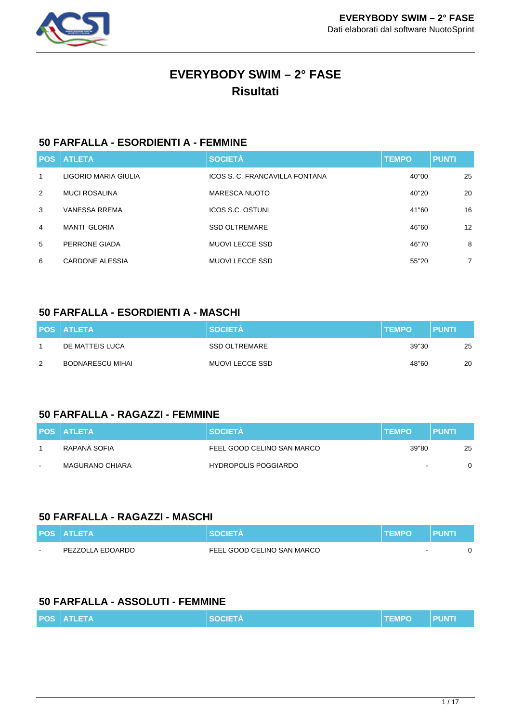

# **EVERYBODY SWIM – 2° FASE Risultati**

## **50 FARFALLA - ESORDIENTI A - FEMMINE**

|   | <b>POS ATLETA</b>    | <b>SOCIETÀ</b>                 | <b>TEMPO</b> | <b>PUNTI</b>      |
|---|----------------------|--------------------------------|--------------|-------------------|
| 1 | LIGORIO MARIA GIULIA | ICOS S. C. FRANCAVILLA FONTANA | 40"00        | 25                |
| 2 | <b>MUCI ROSALINA</b> | <b>MARESCA NUOTO</b>           | 40"20        | 20                |
| 3 | <b>VANESSA RREMA</b> | ICOS S.C. OSTUNI               | 41"60        | 16                |
| 4 | <b>MANTI GLORIA</b>  | <b>SSD OLTREMARE</b>           | 46"60        | $12 \overline{ }$ |
| 5 | PERRONE GIADA        | MUOVI LECCE SSD                | 46"70        | 8                 |
| 6 | CARDONE ALESSIA      | <b>MUOVI LECCE SSD</b>         | 55"20        | $\overline{7}$    |

#### **50 FARFALLA - ESORDIENTI A - MASCHI**

|   | <b>POS ATLETA</b>       | <b>SOCIETÀ</b>  | <b>TEMPO</b> | <b>PUNTI</b> |
|---|-------------------------|-----------------|--------------|--------------|
|   | DE MATTEIS LUCA         | SSD OLTREMARE   | 39"30        | 25           |
| 2 | <b>BODNARESCU MIHAI</b> | MUOVI LECCE SSD | 48"60        | 20           |

#### **50 FARFALLA - RAGAZZI - FEMMINE**

|        | <b>POS ATLETA</b>      | <b>SOCIETA</b>              | <b>TEMPO</b>   | PUNTI |
|--------|------------------------|-----------------------------|----------------|-------|
|        | RAPANÀ SOFIA           | FEEL GOOD CELINO SAN MARCO  | 39"80          | 25    |
| $\sim$ | <b>MAGURANO CHIARA</b> | <b>HYDROPOLIS POGGIARDO</b> | $\overline{a}$ |       |

#### **50 FARFALLA - RAGAZZI - MASCHI**

|        | <b>POS ATLETA</b> | <b>SOCIFTA</b>             | <b>TEMPO</b> | <b>PUNTI</b> |  |
|--------|-------------------|----------------------------|--------------|--------------|--|
| $\sim$ | PEZZOLLA EDOARDO  | FEEL GOOD CELINO SAN MARCO |              |              |  |

### **50 FARFALLA - ASSOLUTI - FEMMINE**

| <b>POS ATLETA</b> | <b>SOCIETÀ</b> | <b>TEMPO</b> | <b>PUNTI</b> |
|-------------------|----------------|--------------|--------------|
|                   |                |              |              |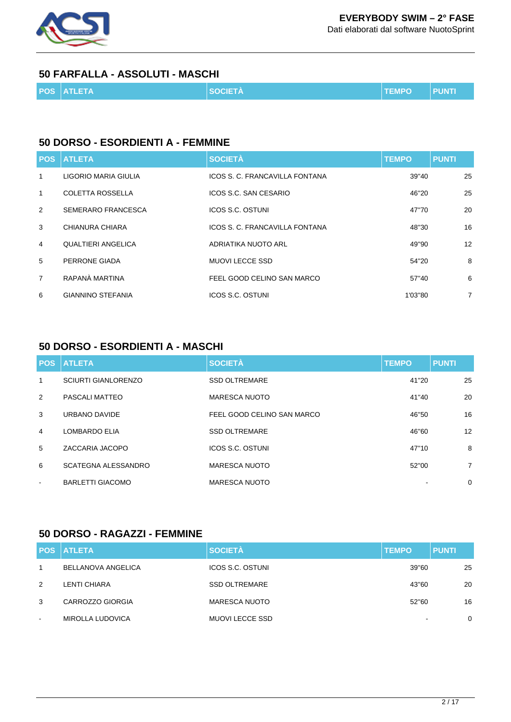

## **EVERYBODY SWIM – 2° FASE**

Dati elaborati dal software NuotoSprint

#### **50 FARFALLA - ASSOLUTI - MASCHI**

|  |  | <b>POS ATLETA</b> | <b>SOCIETA</b> | <b>TEMPO</b> | <b>PUNTI</b> |
|--|--|-------------------|----------------|--------------|--------------|
|--|--|-------------------|----------------|--------------|--------------|

#### **50 DORSO - ESORDIENTI A - FEMMINE**

| <b>POS</b>     | <b>ATLETA</b>             | <b>SOCIETÀ</b>                 | <b>TEMPO</b> | <b>PUNTI</b>   |
|----------------|---------------------------|--------------------------------|--------------|----------------|
| 1              | LIGORIO MARIA GIULIA      | ICOS S. C. FRANCAVILLA FONTANA | 39"40        | 25             |
| 1              | <b>COLETTA ROSSELLA</b>   | ICOS S.C. SAN CESARIO          | 46"20        | 25             |
| 2              | <b>SEMERARO FRANCESCA</b> | <b>ICOS S.C. OSTUNI</b>        | 47"70        | 20             |
| 3              | CHIANURA CHIARA           | ICOS S. C. FRANCAVILLA FONTANA | 48"30        | 16             |
| 4              | QUALTIERI ANGELICA        | ADRIATIKA NUOTO ARL            | 49"90        | 12             |
| 5              | PERRONE GIADA             | <b>MUOVI LECCE SSD</b>         | 54"20        | 8              |
| $\overline{7}$ | RAPANÀ MARTINA            | FEEL GOOD CELINO SAN MARCO     | 57"40        | 6              |
| 6              | <b>GIANNINO STEFANIA</b>  | ICOS S.C. OSTUNI               | 1'03"80      | $\overline{7}$ |

### **50 DORSO - ESORDIENTI A - MASCHI**

|                | <b>POS ATLETA</b>          | <b>SOCIETÀ</b>             | <b>TEMPO</b> | <b>PUNTI</b>   |
|----------------|----------------------------|----------------------------|--------------|----------------|
| $\mathbf{1}$   | <b>SCIURTI GIANLORENZO</b> | <b>SSD OLTREMARE</b>       | 41"20        | 25             |
| 2              | PASCALI MATTEO             | <b>MARESCA NUOTO</b>       | 41"40        | 20             |
| 3              | URBANO DAVIDE              | FEEL GOOD CELINO SAN MARCO | 46"50        | 16             |
| $\overline{4}$ | LOMBARDO ELIA              | <b>SSD OLTREMARE</b>       | 46"60        | 12             |
| 5              | ZACCARIA JACOPO            | ICOS S.C. OSTUNI           | 47"10        | 8              |
| 6              | SCATEGNA ALESSANDRO        | <b>MARESCA NUOTO</b>       | 52"00        | $\overline{7}$ |
| $\sim$         | <b>BARLETTI GIACOMO</b>    | <b>MARESCA NUOTO</b>       |              | $\mathbf 0$    |

### **50 DORSO - RAGAZZI - FEMMINE**

|                          | <b>POS ATLETA</b>  | <b>SOCIETÀ</b>          | <b>TEMPO</b>             | <b>PUNTI</b> |
|--------------------------|--------------------|-------------------------|--------------------------|--------------|
| $\overline{1}$           | BELLANOVA ANGELICA | <b>ICOS S.C. OSTUNI</b> | 39"60                    | 25           |
| 2                        | LENTI CHIARA       | <b>SSD OLTREMARE</b>    | 43"60                    | 20           |
| 3                        | CARROZZO GIORGIA   | <b>MARESCA NUOTO</b>    | 52"60                    | 16           |
| $\overline{\phantom{a}}$ | MIROLLA LUDOVICA   | <b>MUOVI LECCE SSD</b>  | $\overline{\phantom{0}}$ | $\mathbf 0$  |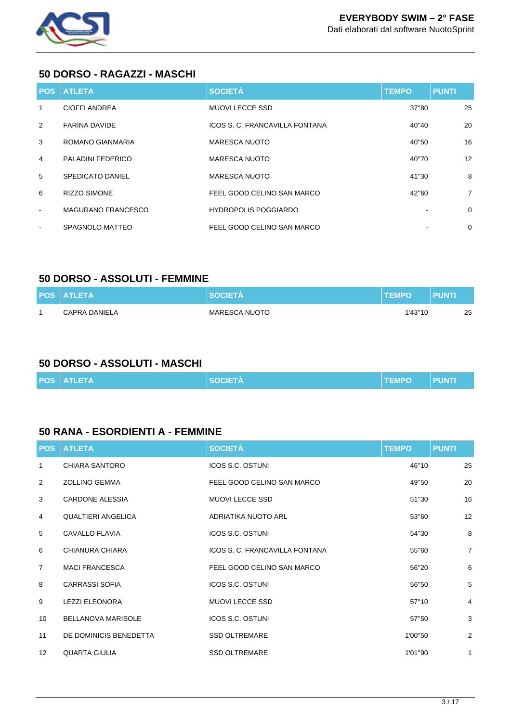

#### **50 DORSO - RAGAZZI - MASCHI**

|                          | <b>POS ATLETA</b>         | <b>SOCIETÀ</b>                 | <b>TEMPO</b> | <b>PUNTI</b>   |
|--------------------------|---------------------------|--------------------------------|--------------|----------------|
| 1                        | <b>CIOFFI ANDREA</b>      | MUOVI LECCE SSD                | 37"80        | 25             |
| 2                        | <b>FARINA DAVIDE</b>      | ICOS S. C. FRANCAVILLA FONTANA | 40"40        | 20             |
| 3                        | ROMANO GIANMARIA          | <b>MARESCA NUOTO</b>           | 40"50        | 16             |
| 4                        | PALADINI FEDERICO         | <b>MARESCA NUOTO</b>           | 40"70        | 12             |
| 5                        | SPEDICATO DANIEL          | <b>MARESCA NUOTO</b>           | 41"30        | 8              |
| 6                        | <b>RIZZO SIMONE</b>       | FEEL GOOD CELINO SAN MARCO     | 42"60        | $\overline{7}$ |
| $\sim$                   | <b>MAGURANO FRANCESCO</b> | <b>HYDROPOLIS POGGIARDO</b>    |              | $\Omega$       |
| $\overline{\phantom{a}}$ | SPAGNOLO MATTEO           | FEEL GOOD CELINO SAN MARCO     |              | $\mathbf 0$    |

#### **50 DORSO - ASSOLUTI - FEMMINE**

| <b>POS ATLETA</b> | <b>SOCIETA</b> | I TEMPO | <b>PUNTI</b> |    |
|-------------------|----------------|---------|--------------|----|
| CAPRA DANIELA     | MARESCA NUOTO  | 1'43"10 |              | 25 |

## **50 DORSO - ASSOLUTI - MASCHI**

|  |  | <b>POS ATLETA</b> | <b>SOCIETA</b> | <b>TEMPO</b> | <b>LPUNTI.</b> |
|--|--|-------------------|----------------|--------------|----------------|
|--|--|-------------------|----------------|--------------|----------------|

#### **50 RANA - ESORDIENTI A - FEMMINE**

| <b>POS</b>      | <b>ATLETA</b>             | <b>SOCIETÀ</b>                 | <b>TEMPO</b> | <b>PUNTI</b>   |
|-----------------|---------------------------|--------------------------------|--------------|----------------|
| 1               | <b>CHIARA SANTORO</b>     | <b>ICOS S.C. OSTUNI</b>        | 46"10        | 25             |
| 2               | <b>ZOLLINO GEMMA</b>      | FEEL GOOD CELINO SAN MARCO     | 49"50        | 20             |
| 3               | <b>CARDONE ALESSIA</b>    | <b>MUOVI LECCE SSD</b>         | 51"30        | 16             |
| 4               | <b>QUALTIERI ANGELICA</b> | ADRIATIKA NUOTO ARL            | 53"60        | 12             |
| 5               | <b>CAVALLO FLAVIA</b>     | <b>ICOS S.C. OSTUNI</b>        | 54"30        | 8              |
| 6               | CHIANURA CHIARA           | ICOS S. C. FRANCAVILLA FONTANA | 55"60        | $\overline{7}$ |
| $\overline{7}$  | <b>MACI FRANCESCA</b>     | FEEL GOOD CELINO SAN MARCO     | 56"20        | 6              |
| 8               | <b>CARRASSI SOFIA</b>     | <b>ICOS S.C. OSTUNI</b>        | 56"50        | 5              |
| 9               | <b>LEZZI ELEONORA</b>     | <b>MUOVI LECCE SSD</b>         | 57"10        | 4              |
| 10              | <b>BELLANOVA MARISOLE</b> | <b>ICOS S.C. OSTUNI</b>        | 57"50        | 3              |
| 11              | DE DOMINICIS BENEDETTA    | <b>SSD OLTREMARE</b>           | 1'00"50      | $\overline{2}$ |
| 12 <sup>°</sup> | <b>QUARTA GIULIA</b>      | <b>SSD OLTREMARE</b>           | 1'01"90      | $\mathbf{1}$   |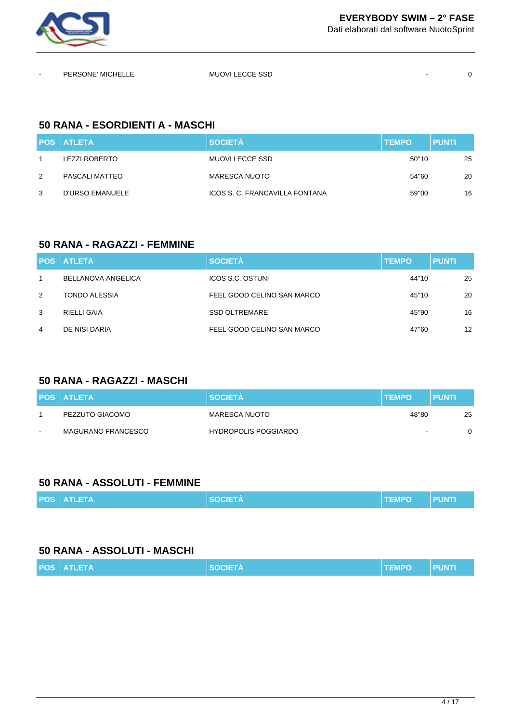

| $\sim$ | PERSONE' MICHELLE | <b>MUOVI LECCE SSD</b> |  |
|--------|-------------------|------------------------|--|
|        |                   |                        |  |

## **50 RANA - ESORDIENTI A - MASCHI**

|   | <b>POS ATLETA</b>    | <b>SOCIETÀ</b>                 | <b>TEMPO</b> | <b>PUNTI</b> |
|---|----------------------|--------------------------------|--------------|--------------|
|   | <b>LEZZI ROBERTO</b> | MUOVI LECCE SSD                | 50"10        | 25           |
| 2 | PASCALI MATTEO       | <b>MARESCA NUOTO</b>           | 54"60        | 20           |
| 3 | D'URSO EMANUELE      | ICOS S. C. FRANCAVILLA FONTANA | 59"00        | 16           |

#### **50 RANA - RAGAZZI - FEMMINE**

|   | <b>POS ATLETA</b>    | <b>SOCIETÀ</b>             | <b>TEMPO</b> | <b>PUNTI</b>      |
|---|----------------------|----------------------------|--------------|-------------------|
|   | BELLANOVA ANGELICA   | <b>ICOS S.C. OSTUNI</b>    | 44"10        | 25                |
| 2 | <b>TONDO ALESSIA</b> | FEEL GOOD CELINO SAN MARCO | 45"10        | 20                |
| 3 | RIELLI GAIA          | <b>SSD OLTREMARE</b>       | 45"90        | 16                |
| 4 | DE NISI DARIA        | FEEL GOOD CELINO SAN MARCO | 47"60        | $12 \overline{ }$ |

### **50 RANA - RAGAZZI - MASCHI**

|        | <b>POS ATLETA</b>  | <b>SOCIETA</b>              | <b>ITEMPO</b>            | <b>PUNTI</b> |
|--------|--------------------|-----------------------------|--------------------------|--------------|
|        | PEZZUTO GIACOMO    | MARESCA NUOTO               | 48"80                    | 25           |
| $\sim$ | MAGURANO FRANCESCO | <b>HYDROPOLIS POGGIARDO</b> | $\overline{\phantom{a}}$ |              |

#### **50 RANA - ASSOLUTI - FEMMINE**

|  |  | <b>POS ATLETA</b> | <b>SOCIETA</b> | <b>TEMPO</b> | 'l PUNTI |
|--|--|-------------------|----------------|--------------|----------|
|--|--|-------------------|----------------|--------------|----------|

## **50 RANA - ASSOLUTI - MASCHI**

|  |  | <b>POS ATLETA</b> | <b>Allen State</b><br>--- | <b>TEMPO</b> |  |
|--|--|-------------------|---------------------------|--------------|--|
|--|--|-------------------|---------------------------|--------------|--|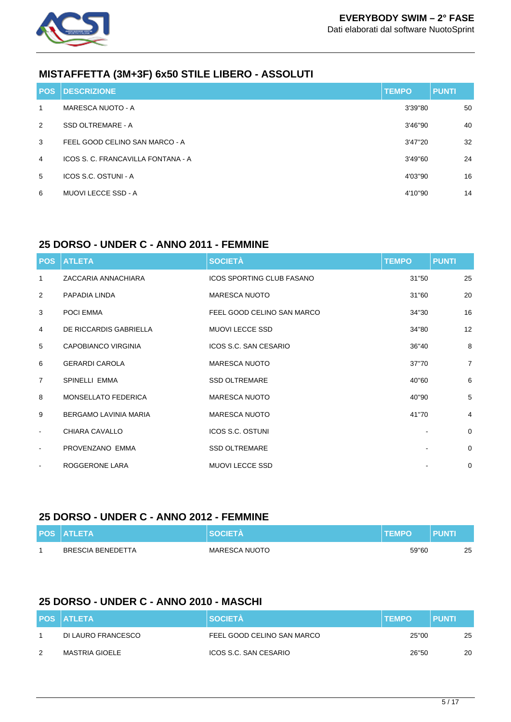

## **MISTAFFETTA (3M+3F) 6x50 STILE LIBERO - ASSOLUTI**

| <b>POS</b> | <b>DESCRIZIONE</b>                 | <b>TEMPO</b> | <b>PUNTI</b> |
|------------|------------------------------------|--------------|--------------|
| 1          | MARESCA NUOTO - A                  | 3'39"80      | 50           |
| 2          | <b>SSD OLTREMARE - A</b>           | 3'46"90      | 40           |
| 3          | FEEL GOOD CELINO SAN MARCO - A     | 3'47"20      | 32           |
| 4          | ICOS S. C. FRANCAVILLA FONTANA - A | 3'49"60      | 24           |
| 5          | ICOS S.C. OSTUNI - A               | 4'03"90      | 16           |
| 6          | MUOVI LECCE SSD - A                | 4'10"90      | 14           |

#### **25 DORSO - UNDER C - ANNO 2011 - FEMMINE**

|                          | <b>POS ATLETA</b>            | <b>SOCIETÀ</b>                   | <b>TEMPO</b> | <b>PUNTI</b>   |
|--------------------------|------------------------------|----------------------------------|--------------|----------------|
| 1                        | ZACCARIA ANNACHIARA          | <b>ICOS SPORTING CLUB FASANO</b> | 31"50        | 25             |
| 2                        | PAPADIA LINDA                | <b>MARESCA NUOTO</b>             | 31"60        | 20             |
| 3                        | POCI EMMA                    | FEEL GOOD CELINO SAN MARCO       | 34"30        | 16             |
| $\overline{4}$           | DE RICCARDIS GABRIELLA       | <b>MUOVI LECCE SSD</b>           | 34"80        | 12             |
| 5                        | <b>CAPOBIANCO VIRGINIA</b>   | ICOS S.C. SAN CESARIO            | 36"40        | 8              |
| 6                        | <b>GERARDI CAROLA</b>        | <b>MARESCA NUOTO</b>             | 37"70        | $\overline{7}$ |
| $\overline{7}$           | SPINELLI EMMA                | <b>SSD OLTREMARE</b>             | 40"60        | 6              |
| 8                        | <b>MONSELLATO FEDERICA</b>   | <b>MARESCA NUOTO</b>             | 40"90        | 5              |
| 9                        | <b>BERGAMO LAVINIA MARIA</b> | <b>MARESCA NUOTO</b>             | 41"70        | $\overline{4}$ |
| $\overline{\phantom{a}}$ | CHIARA CAVALLO               | ICOS S.C. OSTUNI                 |              | 0              |
| $\overline{\phantom{a}}$ | PROVENZANO EMMA              | <b>SSD OLTREMARE</b>             |              | $\mathbf 0$    |
| $\overline{\phantom{a}}$ | ROGGERONE LARA               | <b>MUOVI LECCE SSD</b>           |              | $\mathbf 0$    |

#### **25 DORSO - UNDER C - ANNO 2012 - FEMMINE**

| <b>POS ATLETA</b>        | <b>SOCIETA</b> | <b>TEMPO</b> | <b>PUNTI</b> |    |
|--------------------------|----------------|--------------|--------------|----|
| <b>BRESCIA BENEDETTA</b> | MARESCA NUOTO  | 59"60        |              | 25 |

## **25 DORSO - UNDER C - ANNO 2010 - MASCHI**

|   | <b>POS ATLETA</b>  | <b>SOCIETA</b>             | <b>TEMPO</b> | <b>PUNTI</b> |
|---|--------------------|----------------------------|--------------|--------------|
|   | DI LAURO FRANCESCO | FEEL GOOD CELINO SAN MARCO | 25"00        | 25           |
| 2 | MASTRIA GIOELE     | ICOS S.C. SAN CESARIO      | 26"50        | 20           |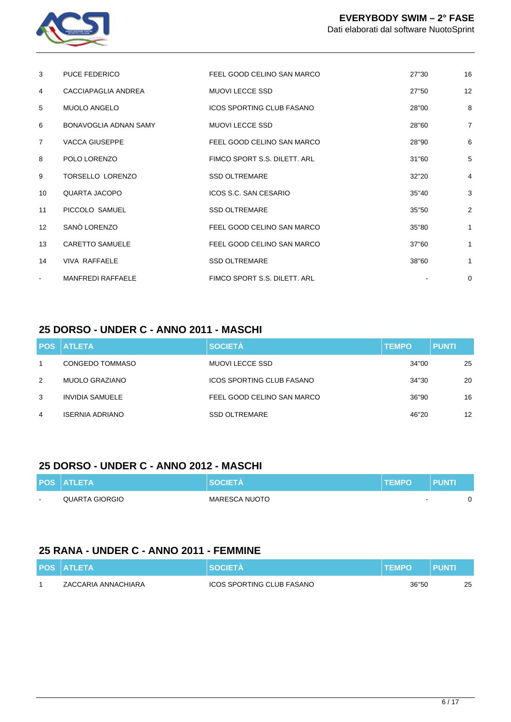

| 3               | <b>PUCE FEDERICO</b>     | FEEL GOOD CELINO SAN MARCO       | 27"30 | 16             |
|-----------------|--------------------------|----------------------------------|-------|----------------|
| 4               | CACCIAPAGLIA ANDREA      | <b>MUOVI LECCE SSD</b>           | 27"50 | 12             |
| 5               | <b>MUOLO ANGELO</b>      | <b>ICOS SPORTING CLUB FASANO</b> | 28"00 | 8              |
| 6               | BONAVOGLIA ADNAN SAMY    | <b>MUOVI LECCE SSD</b>           | 28"60 | $\overline{7}$ |
| $\overline{7}$  | <b>VACCA GIUSEPPE</b>    | FEEL GOOD CELINO SAN MARCO       | 28"90 | 6              |
| 8               | POLO LORENZO             | FIMCO SPORT S.S. DILETT. ARL     | 31"60 | 5              |
| 9               | <b>TORSELLO LORENZO</b>  | <b>SSD OLTREMARE</b>             | 32"20 | $\overline{4}$ |
| 10              | QUARTA JACOPO            | ICOS S.C. SAN CESARIO            | 35"40 | 3              |
| 11              | PICCOLO SAMUEL           | <b>SSD OLTREMARE</b>             | 35"50 | $\overline{2}$ |
| 12 <sup>2</sup> | SANO LORENZO             | FEEL GOOD CELINO SAN MARCO       | 35"80 | 1              |
| 13              | <b>CARETTO SAMUELE</b>   | FEEL GOOD CELINO SAN MARCO       | 37"60 | 1              |
| 14              | <b>VIVA RAFFAELE</b>     | <b>SSD OLTREMARE</b>             | 38"60 | 1              |
|                 | <b>MANFREDI RAFFAELE</b> | FIMCO SPORT S.S. DILETT. ARL     |       | $\mathbf 0$    |

#### **25 DORSO - UNDER C - ANNO 2011 - MASCHI**

|   | <b>POS ATLETA</b>      | <b>SOCIETÀ</b>             | <b>TEMPO</b> | <b>PUNTI</b>      |
|---|------------------------|----------------------------|--------------|-------------------|
|   | CONGEDO TOMMASO        | MUOVI LECCE SSD            | 34"00        | 25                |
| 2 | MUOLO GRAZIANO         | ICOS SPORTING CLUB FASANO  | 34"30        | 20                |
| 3 | INVIDIA SAMUELE        | FEEL GOOD CELINO SAN MARCO | 36"90        | 16                |
| 4 | <b>ISERNIA ADRIANO</b> | <b>SSD OLTREMARE</b>       | 46"20        | $12 \overline{ }$ |

#### **25 DORSO - UNDER C - ANNO 2012 - MASCHI**

|                          | <b>POS ATLETA</b> | <b>SOCIETA</b>       | <b>TEMPO</b>             | <b>PUNT</b> |  |
|--------------------------|-------------------|----------------------|--------------------------|-------------|--|
| $\overline{\phantom{a}}$ | QUARTA GIORGIO    | <b>MARESCA NUOTO</b> | $\overline{\phantom{a}}$ |             |  |

#### **25 RANA - UNDER C - ANNO 2011 - FEMMINE**

| <b>POS ATLETA</b>   | <b>SOCIETA</b>                   | <b>TEMPO</b> | <b>PUNTI</b> |    |
|---------------------|----------------------------------|--------------|--------------|----|
| ZACCARIA ANNACHIARA | <b>ICOS SPORTING CLUB FASANO</b> | 36"50        |              | 25 |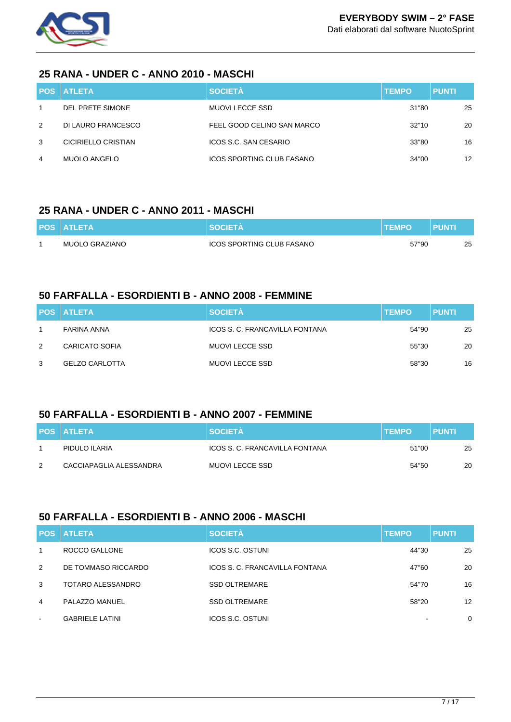

#### **25 RANA - UNDER C - ANNO 2010 - MASCHI**

|   | <b>POS ATLETA</b>   | <b>SOCIETÀ</b>                   | <b>TEMPO</b> | <b>PUNTI</b> |
|---|---------------------|----------------------------------|--------------|--------------|
|   | DEL PRETE SIMONE    | MUOVI LECCE SSD                  | 31"80        | 25           |
| 2 | DI LAURO FRANCESCO  | FEEL GOOD CELINO SAN MARCO       | 32"10        | 20           |
| 3 | CICIRIELLO CRISTIAN | ICOS S.C. SAN CESARIO            | 33"80        | 16           |
| 4 | <b>MUOLO ANGELO</b> | <b>ICOS SPORTING CLUB FASANO</b> | 34"00        | 12           |

#### **25 RANA - UNDER C - ANNO 2011 - MASCHI**

| <b>POS ATLETA</b> | <b>SOCIETA</b>            | <b>TEMPO</b> | <b>PUNT</b> |    |
|-------------------|---------------------------|--------------|-------------|----|
| MUOLO GRAZIANO    | ICOS SPORTING CLUB FASANO | 57"90        |             | 25 |

#### **50 FARFALLA - ESORDIENTI B - ANNO 2008 - FEMMINE**

|   | <b>POS ATLETA</b>     | <b>SOCIETÀ</b>                 | <b>TEMPO</b> | <b>PUNTI</b> |
|---|-----------------------|--------------------------------|--------------|--------------|
|   | FARINA ANNA           | ICOS S. C. FRANCAVILLA FONTANA | 54"90        | 25           |
| 2 | <b>CARICATO SOFIA</b> | MUOVI LECCE SSD                | 55"30        | 20           |
| 3 | <b>GELZO CARLOTTA</b> | MUOVI LECCE SSD                | 58"30        | 16           |

## **50 FARFALLA - ESORDIENTI B - ANNO 2007 - FEMMINE**

|   | <b>POS ATLETA</b>       | <b>SOCIETA</b>                 | <b>TEMPO</b> | PUNTI |
|---|-------------------------|--------------------------------|--------------|-------|
|   | PIDULO ILARIA           | ICOS S. C. FRANCAVILLA FONTANA | 51"00        | 25    |
| 2 | CACCIAPAGLIA ALESSANDRA | MUOVI LECCE SSD                | 54"50        | 20    |

#### **50 FARFALLA - ESORDIENTI B - ANNO 2006 - MASCHI**

|             | <b>POS ATLETA</b>      | <b>SOCIETÀ</b>                 | <b>TEMPO</b> | <b>PUNTI</b>      |
|-------------|------------------------|--------------------------------|--------------|-------------------|
| $\mathbf 1$ | ROCCO GALLONE          | <b>ICOS S.C. OSTUNI</b>        | 44"30        | 25                |
| 2           | DE TOMMASO RICCARDO    | ICOS S. C. FRANCAVILLA FONTANA | 47"60        | 20                |
| 3           | TOTARO ALESSANDRO      | <b>SSD OLTREMARE</b>           | 54"70        | 16                |
| 4           | PALAZZO MANUEL         | <b>SSD OLTREMARE</b>           | 58"20        | $12 \overline{ }$ |
| $\sim$      | <b>GABRIELE LATINI</b> | ICOS S.C. OSTUNI               |              | 0                 |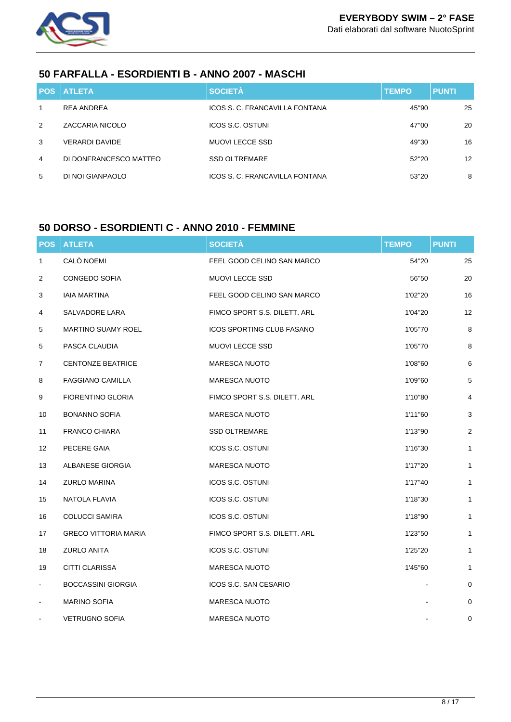

### **50 FARFALLA - ESORDIENTI B - ANNO 2007 - MASCHI**

| <b>POS</b> | <b>I ATLETA</b>        | <b>SOCIETÀ</b>                 | <b>TEMPO</b> | <b>PUNTI</b>      |
|------------|------------------------|--------------------------------|--------------|-------------------|
| 1          | <b>REA ANDREA</b>      | ICOS S. C. FRANCAVILLA FONTANA | 45"90        | 25                |
| 2          | ZACCARIA NICOLO        | <b>ICOS S.C. OSTUNI</b>        | 47"00        | 20                |
| 3          | <b>VERARDI DAVIDE</b>  | <b>MUOVI LECCE SSD</b>         | 49"30        | 16                |
| 4          | DI DONFRANCESCO MATTEO | <b>SSD OLTREMARE</b>           | 52"20        | $12 \overline{ }$ |
| 5          | DI NOI GIANPAOLO       | ICOS S. C. FRANCAVILLA FONTANA | 53"20        | 8                 |

## **50 DORSO - ESORDIENTI C - ANNO 2010 - FEMMINE**

| <b>POS</b>     | <b>ATLETA</b>               | <b>SOCIETÀ</b>                   | <b>TEMPO</b> | <b>PUNTI</b>   |
|----------------|-----------------------------|----------------------------------|--------------|----------------|
| 1              | CALÒ NOEMI                  | FEEL GOOD CELINO SAN MARCO       | 54"20        | 25             |
| $\overline{2}$ | CONGEDO SOFIA               | <b>MUOVI LECCE SSD</b>           | 56"50        | 20             |
| 3              | <b>IAIA MARTINA</b>         | FEEL GOOD CELINO SAN MARCO       | 1'02"20      | 16             |
| 4              | SALVADORE LARA              | FIMCO SPORT S.S. DILETT. ARL     | 1'04"20      | 12             |
| 5              | <b>MARTINO SUAMY ROEL</b>   | <b>ICOS SPORTING CLUB FASANO</b> | 1'05"70      | 8              |
| 5              | PASCA CLAUDIA               | MUOVI LECCE SSD                  | 1'05"70      | 8              |
| 7              | <b>CENTONZE BEATRICE</b>    | <b>MARESCA NUOTO</b>             | 1'08"60      | 6              |
| 8              | <b>FAGGIANO CAMILLA</b>     | <b>MARESCA NUOTO</b>             | 1'09"60      | 5              |
| 9              | FIORENTINO GLORIA           | FIMCO SPORT S.S. DILETT. ARL     | 1'10"80      | 4              |
| 10             | <b>BONANNO SOFIA</b>        | <b>MARESCA NUOTO</b>             | 1'11"60      | 3              |
| 11             | <b>FRANCO CHIARA</b>        | <b>SSD OLTREMARE</b>             | 1'13"90      | $\overline{2}$ |
| 12             | PECERE GAIA                 | ICOS S.C. OSTUNI                 | 1'16"30      | 1              |
| 13             | ALBANESE GIORGIA            | <b>MARESCA NUOTO</b>             | 1'17"20      | 1              |
| 14             | <b>ZURLO MARINA</b>         | ICOS S.C. OSTUNI                 | 1'17"40      | 1              |
| 15             | NATOLA FLAVIA               | ICOS S.C. OSTUNI                 | 1'18"30      | 1              |
| 16             | <b>COLUCCI SAMIRA</b>       | ICOS S.C. OSTUNI                 | 1'18"90      | 1              |
| 17             | <b>GRECO VITTORIA MARIA</b> | FIMCO SPORT S.S. DILETT. ARL     | 1'23"50      | 1              |
| 18             | <b>ZURLO ANITA</b>          | ICOS S.C. OSTUNI                 | 1'25"20      | 1              |
| 19             | CITTI CLARISSA              | <b>MARESCA NUOTO</b>             | 1'45"60      | 1              |
| $\blacksquare$ | <b>BOCCASSINI GIORGIA</b>   | ICOS S.C. SAN CESARIO            |              | 0              |
|                | <b>MARINO SOFIA</b>         | <b>MARESCA NUOTO</b>             |              | 0              |
|                | <b>VETRUGNO SOFIA</b>       | <b>MARESCA NUOTO</b>             |              | 0              |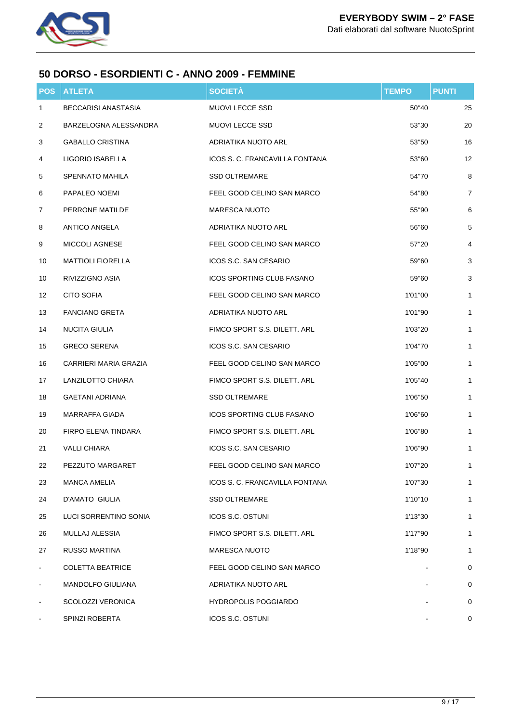

#### **50 DORSO - ESORDIENTI C - ANNO 2009 - FEMMINE**

| POS            | <b>ATLETA</b>              | <b>SOCIETÀ</b>                   | <b>TEMPO</b> | <b>PUNTI</b>            |
|----------------|----------------------------|----------------------------------|--------------|-------------------------|
| 1              | <b>BECCARISI ANASTASIA</b> | MUOVI LECCE SSD                  | 50"40        | 25                      |
| 2              | BARZELOGNA ALESSANDRA      | MUOVI LECCE SSD                  | 53"30        | 20                      |
| 3              | <b>GABALLO CRISTINA</b>    | ADRIATIKA NUOTO ARL              | 53"50        | 16                      |
| 4              | LIGORIO ISABELLA           | ICOS S. C. FRANCAVILLA FONTANA   | 53"60        | 12                      |
| 5              | SPENNATO MAHILA            | <b>SSD OLTREMARE</b>             | 54"70        | 8                       |
| 6              | PAPALEO NOEMI              | FEEL GOOD CELINO SAN MARCO       | 54"80        | $\overline{7}$          |
| 7              | PERRONE MATILDE            | <b>MARESCA NUOTO</b>             | 55"90        | 6                       |
| 8              | <b>ANTICO ANGELA</b>       | ADRIATIKA NUOTO ARL              | 56"60        | 5                       |
| 9              | MICCOLI AGNESE             | FEEL GOOD CELINO SAN MARCO       | 57"20        | $\overline{\mathbf{4}}$ |
| 10             | <b>MATTIOLI FIORELLA</b>   | ICOS S.C. SAN CESARIO            | 59"60        | 3                       |
| 10             | RIVIZZIGNO ASIA            | <b>ICOS SPORTING CLUB FASANO</b> | 59"60        | 3                       |
| 12             | <b>CITO SOFIA</b>          | FEEL GOOD CELINO SAN MARCO       | 1'01"00      | 1                       |
| 13             | <b>FANCIANO GRETA</b>      | ADRIATIKA NUOTO ARL              | 1'01"90      | 1                       |
| 14             | NUCITA GIULIA              | FIMCO SPORT S.S. DILETT, ARL     | 1'03"20      | $\mathbf{1}$            |
| 15             | <b>GRECO SERENA</b>        | ICOS S.C. SAN CESARIO            | 1'04"70      | $\mathbf{1}$            |
| 16             | CARRIERI MARIA GRAZIA      | FEEL GOOD CELINO SAN MARCO       | 1'05"00      | 1                       |
| 17             | LANZILOTTO CHIARA          | FIMCO SPORT S.S. DILETT. ARL     | 1'05"40      | $\mathbf{1}$            |
| 18             | <b>GAETANI ADRIANA</b>     | <b>SSD OLTREMARE</b>             | 1'06"50      | $\mathbf{1}$            |
| 19             | <b>MARRAFFA GIADA</b>      | ICOS SPORTING CLUB FASANO        | 1'06"60      | 1                       |
| 20             | <b>FIRPO ELENA TINDARA</b> | FIMCO SPORT S.S. DILETT. ARL     | 1'06"80      | $\mathbf{1}$            |
| 21             | <b>VALLI CHIARA</b>        | ICOS S.C. SAN CESARIO            | 1'06"90      | $\mathbf{1}$            |
| 22             | PEZZUTO MARGARET           | FEEL GOOD CELINO SAN MARCO       | 1'07"20      | 1                       |
| 23             | <b>MANCA AMELIA</b>        | ICOS S. C. FRANCAVILLA FONTANA   | 1'07"30      | 1                       |
| 24             | <b>D'AMATO GIULIA</b>      | <b>SSD OLTREMARE</b>             | 1'10"10      | 1                       |
| 25             | LUCI SORRENTINO SONIA      | ICOS S.C. OSTUNI                 | 1'13"30      | 1                       |
| 26             | MULLAJ ALESSIA             | FIMCO SPORT S.S. DILETT. ARL     | 1'17"90      | $\mathbf{1}$            |
| 27             | RUSSO MARTINA              | <b>MARESCA NUOTO</b>             | 1'18"90      | $\mathbf{1}$            |
| $\blacksquare$ | <b>COLETTA BEATRICE</b>    | FEEL GOOD CELINO SAN MARCO       |              | 0                       |
| $\blacksquare$ | MANDOLFO GIULIANA          | ADRIATIKA NUOTO ARL              |              | $\mathbf 0$             |
|                | SCOLOZZI VERONICA          | <b>HYDROPOLIS POGGIARDO</b>      |              | $\mathbf 0$             |
|                | SPINZI ROBERTA             | ICOS S.C. OSTUNI                 |              | 0                       |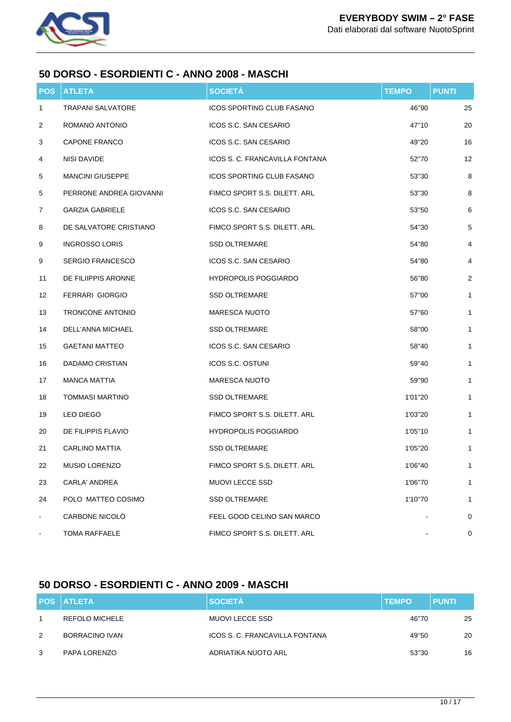

#### **50 DORSO - ESORDIENTI C - ANNO 2008 - MASCHI**

| <b>POS</b>     | <b>ATLETA</b>            | <b>SOCIETÀ</b>                   | <b>TEMPO</b> | <b>PUNTI</b> |
|----------------|--------------------------|----------------------------------|--------------|--------------|
| 1              | <b>TRAPANI SALVATORE</b> | <b>ICOS SPORTING CLUB FASANO</b> | 46"90        | 25           |
| 2              | ROMANO ANTONIO           | ICOS S.C. SAN CESARIO            | 47"10        | 20           |
| 3              | <b>CAPONE FRANCO</b>     | ICOS S.C. SAN CESARIO            | 49"20        | 16           |
| 4              | NISI DAVIDE              | ICOS S. C. FRANCAVILLA FONTANA   | 52"70        | 12           |
| 5              | <b>MANCINI GIUSEPPE</b>  | <b>ICOS SPORTING CLUB FASANO</b> | 53"30        | 8            |
| 5              | PERRONE ANDREA GIOVANNI  | FIMCO SPORT S.S. DILETT. ARL     | 53"30        | 8            |
| 7              | <b>GARZIA GABRIELE</b>   | ICOS S.C. SAN CESARIO            | 53"50        | 6            |
| 8              | DE SALVATORE CRISTIANO   | FIMCO SPORT S.S. DILETT. ARL     | 54"30        | $\mathbf 5$  |
| 9              | <b>INGROSSO LORIS</b>    | <b>SSD OLTREMARE</b>             | 54"80        | 4            |
| 9              | <b>SERGIO FRANCESCO</b>  | ICOS S.C. SAN CESARIO            | 54"80        | 4            |
| 11             | DE FILIIPPIS ARONNE      | <b>HYDROPOLIS POGGIARDO</b>      | 56"80        | $\sqrt{2}$   |
| 12             | <b>FERRARI GIORGIO</b>   | <b>SSD OLTREMARE</b>             | 57"00        | $\mathbf{1}$ |
| 13             | TRONCONE ANTONIO         | <b>MARESCA NUOTO</b>             | 57"60        | 1            |
| 14             | <b>DELL'ANNA MICHAEL</b> | <b>SSD OLTREMARE</b>             | 58"00        | $\mathbf{1}$ |
| 15             | <b>GAETANI MATTEO</b>    | ICOS S.C. SAN CESARIO            | 58"40        | $\mathbf{1}$ |
| 16             | DADAMO CRISTIAN          | ICOS S.C. OSTUNI                 | 59"40        | 1            |
| 17             | <b>MANCA MATTIA</b>      | <b>MARESCA NUOTO</b>             | 59"90        | 1            |
| 18             | <b>TOMMASI MARTINO</b>   | <b>SSD OLTREMARE</b>             | 1'01"20      | $\mathbf{1}$ |
| 19             | LEO DIEGO                | FIMCO SPORT S.S. DILETT. ARL     | 1'03"20      | $\mathbf{1}$ |
| 20             | DE FILIPPIS FLAVIO       | <b>HYDROPOLIS POGGIARDO</b>      | 1'05"10      | 1            |
| 21             | CARLINO MATTIA           | <b>SSD OLTREMARE</b>             | 1'05"20      | $\mathbf{1}$ |
| 22             | <b>MUSIO LORENZO</b>     | FIMCO SPORT S.S. DILETT. ARL     | 1'06"40      | 1            |
| 23             | CARLA' ANDREA            | <b>MUOVI LECCE SSD</b>           | 1'06"70      | 1            |
| 24             | POLO MATTEO COSIMO       | <b>SSD OLTREMARE</b>             | 1'10"70      | $\mathbf{1}$ |
| $\blacksquare$ | <b>CARBONE NICOLO</b>    | FEEL GOOD CELINO SAN MARCO       |              | 0            |
|                | <b>TOMA RAFFAELE</b>     | FIMCO SPORT S.S. DILETT. ARL     |              | 0            |

## **50 DORSO - ESORDIENTI C - ANNO 2009 - MASCHI**

|   | <b>POS ATLETA</b>     | <b>SOCIETÀ</b>                 | <b>TEMPO</b> | <b>PUNTI</b> |
|---|-----------------------|--------------------------------|--------------|--------------|
|   | <b>REFOLO MICHELE</b> | MUOVI LECCE SSD                | 46"70        | 25           |
| 2 | BORRACINO IVAN        | ICOS S. C. FRANCAVILLA FONTANA | 49"50        | 20           |
| 3 | PAPA LORENZO          | ADRIATIKA NUOTO ARL            | 53"30        | 16           |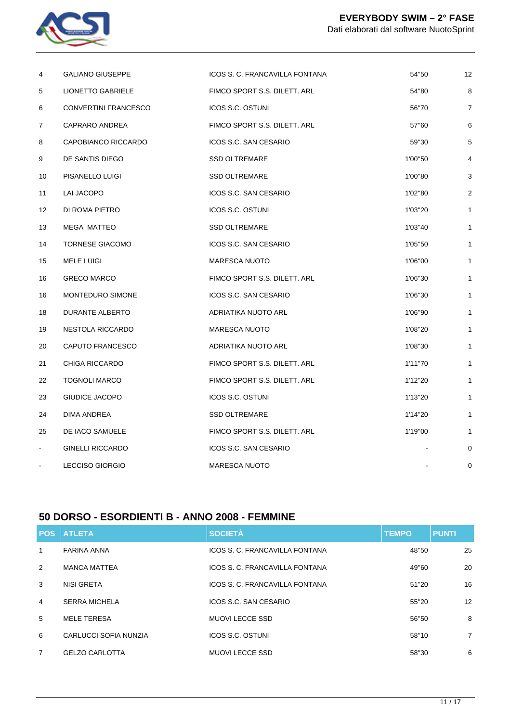

| 4               | <b>GALIANO GIUSEPPE</b>  | ICOS S. C. FRANCAVILLA FONTANA | 54"50   | 12             |
|-----------------|--------------------------|--------------------------------|---------|----------------|
| 5               | <b>LIONETTO GABRIELE</b> | FIMCO SPORT S.S. DILETT. ARL   | 54"80   | 8              |
| 6               | CONVERTINI FRANCESCO     | ICOS S.C. OSTUNI               | 56"70   | $\overline{7}$ |
| 7               | CAPRARO ANDREA           | FIMCO SPORT S.S. DILETT. ARL   | 57"60   | 6              |
| 8               | CAPOBIANCO RICCARDO      | ICOS S.C. SAN CESARIO          | 59"30   | 5              |
| 9               | DE SANTIS DIEGO          | <b>SSD OLTREMARE</b>           | 1'00"50 | $\overline{4}$ |
| 10              | PISANELLO LUIGI          | <b>SSD OLTREMARE</b>           | 1'00"80 | 3              |
| 11              | LAI JACOPO               | ICOS S.C. SAN CESARIO          | 1'02"80 | $\overline{2}$ |
| 12 <sup>°</sup> | DI ROMA PIETRO           | ICOS S.C. OSTUNI               | 1'03"20 | 1              |
| 13              | <b>MEGA MATTEO</b>       | <b>SSD OLTREMARE</b>           | 1'03"40 | 1              |
| 14              | <b>TORNESE GIACOMO</b>   | ICOS S.C. SAN CESARIO          | 1'05"50 | 1              |
| 15              | <b>MELE LUIGI</b>        | <b>MARESCA NUOTO</b>           | 1'06"00 | 1              |
| 16              | <b>GRECO MARCO</b>       | FIMCO SPORT S.S. DILETT. ARL   | 1'06"30 | 1              |
| 16              | MONTEDURO SIMONE         | ICOS S.C. SAN CESARIO          | 1'06"30 | 1              |
| 18              | DURANTE ALBERTO          | ADRIATIKA NUOTO ARL            | 1'06"90 | 1              |
| 19              | <b>NESTOLA RICCARDO</b>  | <b>MARESCA NUOTO</b>           | 1'08"20 | 1              |
| 20              | CAPUTO FRANCESCO         | ADRIATIKA NUOTO ARL            | 1'08"30 | 1              |
| 21              | <b>CHIGA RICCARDO</b>    | FIMCO SPORT S.S. DILETT. ARL   | 1'11"70 | 1              |
| 22              | <b>TOGNOLI MARCO</b>     | FIMCO SPORT S.S. DILETT. ARL   | 1'12"20 | 1              |
| 23              | <b>GIUDICE JACOPO</b>    | ICOS S.C. OSTUNI               | 1'13"20 | 1              |
| 24              | DIMA ANDREA              | <b>SSD OLTREMARE</b>           | 1'14"20 | $\mathbf{1}$   |
| 25              | DE IACO SAMUELE          | FIMCO SPORT S.S. DILETT. ARL   | 1'19"00 | 1              |
| $\blacksquare$  | <b>GINELLI RICCARDO</b>  | ICOS S.C. SAN CESARIO          |         | 0              |
| $\blacksquare$  | <b>LECCISO GIORGIO</b>   | <b>MARESCA NUOTO</b>           |         | $\mathbf 0$    |

## **50 DORSO - ESORDIENTI B - ANNO 2008 - FEMMINE**

|                | <b>POS ATLETA</b>     | <b>SOCIETÀ</b>                 | <b>TEMPO</b> | <b>PUNTI</b>      |
|----------------|-----------------------|--------------------------------|--------------|-------------------|
| 1              | <b>FARINA ANNA</b>    | ICOS S. C. FRANCAVILLA FONTANA | 48"50        | 25                |
| 2              | <b>MANCA MATTEA</b>   | ICOS S. C. FRANCAVILLA FONTANA | 49"60        | 20                |
| 3              | NISI GRETA            | ICOS S. C. FRANCAVILLA FONTANA | 51"20        | 16                |
| 4              | <b>SERRA MICHELA</b>  | ICOS S.C. SAN CESARIO          | 55"20        | $12 \overline{ }$ |
| 5              | <b>MELE TERESA</b>    | MUOVI LECCE SSD                | 56"50        | 8                 |
| 6              | CARLUCCI SOFIA NUNZIA | <b>ICOS S.C. OSTUNI</b>        | 58"10        | $\overline{7}$    |
| $\overline{7}$ | <b>GELZO CARLOTTA</b> | <b>MUOVI LECCE SSD</b>         | 58"30        | 6                 |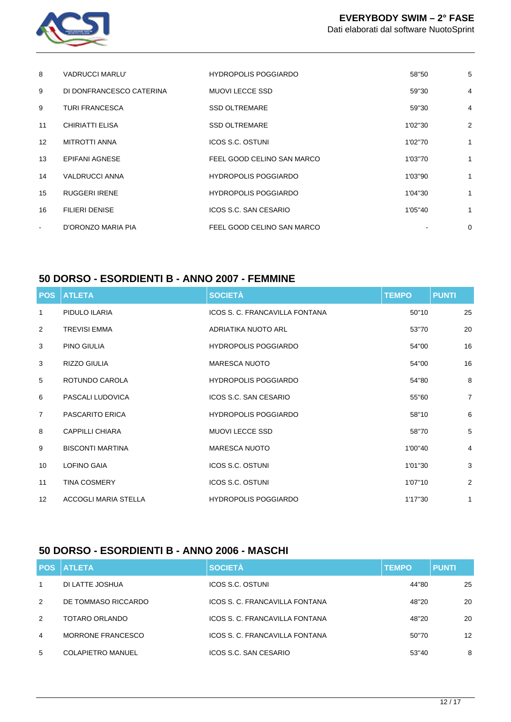

| 8                 | <b>VADRUCCI MARLU'</b>   | <b>HYDROPOLIS POGGIARDO</b> | 58"50   | 5              |
|-------------------|--------------------------|-----------------------------|---------|----------------|
| 9                 | DI DONFRANCESCO CATERINA | <b>MUOVI LECCE SSD</b>      | 59"30   | 4              |
| 9                 | <b>TURI FRANCESCA</b>    | <b>SSD OLTREMARE</b>        | 59"30   | $\overline{4}$ |
| 11                | CHIRIATTI ELISA          | <b>SSD OLTREMARE</b>        | 1'02"30 | $\overline{2}$ |
| $12 \overline{ }$ | <b>MITROTTI ANNA</b>     | ICOS S.C. OSTUNI            | 1'02"70 | 1              |
| 13                | <b>EPIFANI AGNESE</b>    | FEEL GOOD CELINO SAN MARCO  | 1'03"70 | 1              |
| 14                | <b>VALDRUCCI ANNA</b>    | <b>HYDROPOLIS POGGIARDO</b> | 1'03"90 | 1              |
| 15                | <b>RUGGERI IRENE</b>     | <b>HYDROPOLIS POGGIARDO</b> | 1'04"30 | 1              |
| 16                | <b>FILIERI DENISE</b>    | ICOS S.C. SAN CESARIO       | 1'05"40 | 1              |
| $\sim$            | D'ORONZO MARIA PIA       | FEEL GOOD CELINO SAN MARCO  |         | 0              |
|                   |                          |                             |         |                |

#### **50 DORSO - ESORDIENTI B - ANNO 2007 - FEMMINE**

| <b>POS</b>        | <b>ATLETA</b>               | <b>SOCIETÀ</b>                 | <b>TEMPO</b> | <b>PUNTI</b>   |
|-------------------|-----------------------------|--------------------------------|--------------|----------------|
| 1                 | PIDULO ILARIA               | ICOS S. C. FRANCAVILLA FONTANA | 50"10        | 25             |
| 2                 | <b>TREVISI EMMA</b>         | ADRIATIKA NUOTO ARL            | 53"70        | 20             |
| 3                 | PINO GIULIA                 | <b>HYDROPOLIS POGGIARDO</b>    | 54"00        | 16             |
| 3                 | <b>RIZZO GIULIA</b>         | <b>MARESCA NUOTO</b>           | 54"00        | 16             |
| 5                 | ROTUNDO CAROLA              | <b>HYDROPOLIS POGGIARDO</b>    | 54"80        | 8              |
| 6                 | PASCALI LUDOVICA            | ICOS S.C. SAN CESARIO          | 55"60        | $\overline{7}$ |
| $\overline{7}$    | <b>PASCARITO ERICA</b>      | <b>HYDROPOLIS POGGIARDO</b>    | 58"10        | 6              |
| 8                 | CAPPILLI CHIARA             | <b>MUOVI LECCE SSD</b>         | 58"70        | 5              |
| 9                 | <b>BISCONTI MARTINA</b>     | <b>MARESCA NUOTO</b>           | 1'00"40      | 4              |
| 10                | <b>LOFINO GAIA</b>          | <b>ICOS S.C. OSTUNI</b>        | 1'01"30      | 3              |
| 11                | <b>TINA COSMERY</b>         | <b>ICOS S.C. OSTUNI</b>        | 1'07"10      | 2              |
| $12 \overline{ }$ | <b>ACCOGLI MARIA STELLA</b> | <b>HYDROPOLIS POGGIARDO</b>    | 1'17"30      | $\mathbf{1}$   |

## **50 DORSO - ESORDIENTI B - ANNO 2006 - MASCHI**

|                | <b>POS ATLETA</b>        | <b>SOCIETÀ</b>                 | <b>TEMPO</b> | <b>PUNTI</b> |
|----------------|--------------------------|--------------------------------|--------------|--------------|
| $\mathbf{1}$   | DI LATTE JOSHUA          | <b>ICOS S.C. OSTUNI</b>        | 44"80        | 25           |
| 2              | DE TOMMASO RICCARDO      | ICOS S. C. FRANCAVILLA FONTANA | 48"20        | 20           |
| $\mathcal{P}$  | TOTARO ORLANDO           | ICOS S. C. FRANCAVILLA FONTANA | 48"20        | 20           |
| $\overline{4}$ | MORRONE FRANCESCO        | ICOS S. C. FRANCAVILLA FONTANA | 50"70        | 12           |
| 5              | <b>COLAPIETRO MANUEL</b> | ICOS S.C. SAN CESARIO          | 53"40        | 8            |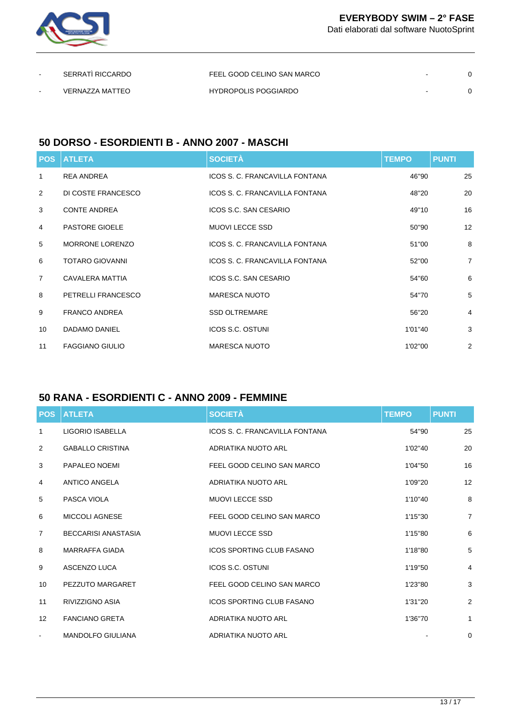

Dati elaborati dal software NuotoSprint

| $\sim$ | SERRATI RICCARDO | FEEL GOOD CELINO SAN MARCO  | $\sim$ |  |
|--------|------------------|-----------------------------|--------|--|
| $\sim$ | VERNAZZA MATTEO  | <b>HYDROPOLIS POGGIARDO</b> | $\sim$ |  |

#### **50 DORSO - ESORDIENTI B - ANNO 2007 - MASCHI**

| <b>POS</b>     | <b>ATLETA</b>          | <b>SOCIETÀ</b>                 | <b>TEMPO</b> | <b>PUNTI</b>   |
|----------------|------------------------|--------------------------------|--------------|----------------|
| 1              | REA ANDREA             | ICOS S. C. FRANCAVILLA FONTANA | 46"90        | 25             |
| 2              | DI COSTE FRANCESCO     | ICOS S. C. FRANCAVILLA FONTANA | 48"20        | 20             |
| 3              | <b>CONTE ANDREA</b>    | ICOS S.C. SAN CESARIO          | 49"10        | 16             |
| 4              | <b>PASTORE GIOELE</b>  | <b>MUOVI LECCE SSD</b>         | 50"90        | 12             |
| 5              | <b>MORRONE LORENZO</b> | ICOS S. C. FRANCAVILLA FONTANA | 51"00        | 8              |
| 6              | <b>TOTARO GIOVANNI</b> | ICOS S. C. FRANCAVILLA FONTANA | 52"00        | $\overline{7}$ |
| $\overline{7}$ | CAVALERA MATTIA        | ICOS S.C. SAN CESARIO          | 54"60        | 6              |
| 8              | PETRELLI FRANCESCO     | <b>MARESCA NUOTO</b>           | 54"70        | 5              |
| 9              | <b>FRANCO ANDREA</b>   | <b>SSD OLTREMARE</b>           | 56"20        | 4              |
| 10             | <b>DADAMO DANIEL</b>   | <b>ICOS S.C. OSTUNI</b>        | 1'01"40      | 3              |
| 11             | <b>FAGGIANO GIULIO</b> | <b>MARESCA NUOTO</b>           | 1'02"00      | 2              |

## **50 RANA - ESORDIENTI C - ANNO 2009 - FEMMINE**

| <b>POS</b>        | <b>ATLETA</b>              | <b>SOCIETÀ</b>                   | <b>TEMPO</b> | <b>PUNTI</b>   |
|-------------------|----------------------------|----------------------------------|--------------|----------------|
| 1                 | LIGORIO ISABELLA           | ICOS S. C. FRANCAVILLA FONTANA   | 54"90        | 25             |
| 2                 | <b>GABALLO CRISTINA</b>    | ADRIATIKA NUOTO ARL              | 1'02"40      | 20             |
| 3                 | PAPALEO NOEMI              | FEEL GOOD CELINO SAN MARCO       | 1'04"50      | 16             |
| 4                 | <b>ANTICO ANGELA</b>       | ADRIATIKA NUOTO ARL              | 1'09"20      | 12             |
| 5                 | PASCA VIOLA                | <b>MUOVI LECCE SSD</b>           | 1'10"40      | 8              |
| 6                 | MICCOLI AGNESE             | FEEL GOOD CELINO SAN MARCO       | 1'15"30      | $\overline{7}$ |
| $\overline{7}$    | <b>BECCARISI ANASTASIA</b> | <b>MUOVI LECCE SSD</b>           | 1'15"80      | 6              |
| 8                 | <b>MARRAFFA GIADA</b>      | <b>ICOS SPORTING CLUB FASANO</b> | 1'18"80      | $\sqrt{5}$     |
| 9                 | ASCENZO LUCA               | <b>ICOS S.C. OSTUNI</b>          | 1'19"50      | $\overline{4}$ |
| 10                | PEZZUTO MARGARET           | FEEL GOOD CELINO SAN MARCO       | 1'23"80      | $\sqrt{3}$     |
| 11                | <b>RIVIZZIGNO ASIA</b>     | <b>ICOS SPORTING CLUB FASANO</b> | 1'31"20      | 2              |
| $12 \overline{ }$ | <b>FANCIANO GRETA</b>      | ADRIATIKA NUOTO ARL              | 1'36"70      | $\mathbf{1}$   |
|                   | <b>MANDOLFO GIULIANA</b>   | ADRIATIKA NUOTO ARL              |              | 0              |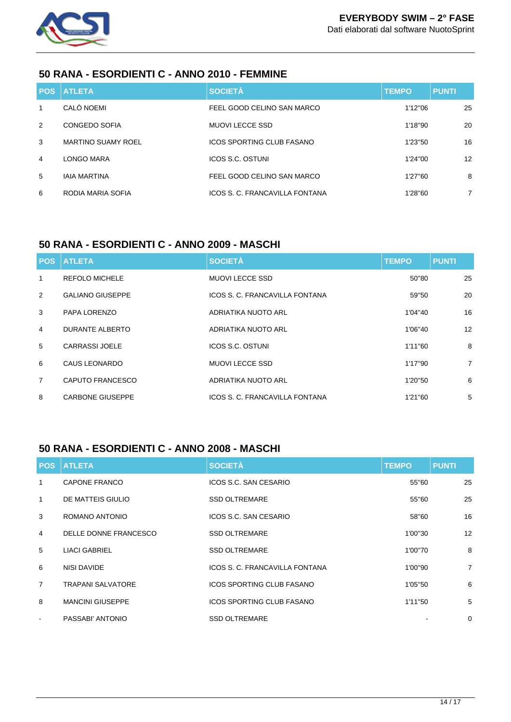

#### **50 RANA - ESORDIENTI C - ANNO 2010 - FEMMINE**

|                | <b>POS ATLETA</b>         | <b>SOCIETÀ</b>                 | <b>TEMPO</b> | <b>PUNTI</b>    |
|----------------|---------------------------|--------------------------------|--------------|-----------------|
| 1              | CALÒ NOEMI                | FEEL GOOD CELINO SAN MARCO     | 1'12"06      | 25              |
| 2              | CONGEDO SOFIA             | MUOVI LECCE SSD                | 1'18"90      | 20              |
| 3              | <b>MARTINO SUAMY ROEL</b> | ICOS SPORTING CLUB FASANO      | 1'23"50      | 16              |
| $\overline{4}$ | LONGO MARA                | <b>ICOS S.C. OSTUNI</b>        | 1'24"00      | 12 <sup>°</sup> |
| 5              | <b>IAIA MARTINA</b>       | FEEL GOOD CELINO SAN MARCO     | 1'27"60      | 8               |
| 6              | RODIA MARIA SOFIA         | ICOS S. C. FRANCAVILLA FONTANA | 1'28"60      | $\overline{7}$  |

## **50 RANA - ESORDIENTI C - ANNO 2009 - MASCHI**

|                | <b>POS ATLETA</b>       | <b>SOCIETÀ</b>                 | <b>TEMPO</b> | <b>PUNTI</b>   |
|----------------|-------------------------|--------------------------------|--------------|----------------|
| 1              | <b>REFOLO MICHELE</b>   | <b>MUOVI LECCE SSD</b>         | 50"80        | 25             |
| 2              | <b>GALIANO GIUSEPPE</b> | ICOS S. C. FRANCAVILLA FONTANA | 59"50        | 20             |
| 3              | PAPA LORENZO            | ADRIATIKA NUOTO ARL            | 1'04"40      | 16             |
| 4              | DURANTE ALBERTO         | ADRIATIKA NUOTO ARL            | 1'06"40      | 12             |
| 5              | CARRASSI JOELE          | ICOS S.C. OSTUNI               | 1'11"60      | 8              |
| 6              | CAUS LEONARDO           | <b>MUOVI LECCE SSD</b>         | 1'17"90      | $\overline{7}$ |
| $\overline{7}$ | CAPUTO FRANCESCO        | ADRIATIKA NUOTO ARL            | 1'20"50      | 6              |
| 8              | <b>CARBONE GIUSEPPE</b> | ICOS S. C. FRANCAVILLA FONTANA | 1'21"60      | 5              |

## **50 RANA - ESORDIENTI C - ANNO 2008 - MASCHI**

|                | <b>POS ATLETA</b>        | <b>SOCIETÀ</b>                   | <b>TEMPO</b> | <b>PUNTI</b>   |
|----------------|--------------------------|----------------------------------|--------------|----------------|
| 1              | <b>CAPONE FRANCO</b>     | ICOS S.C. SAN CESARIO            | 55"60        | 25             |
| $\mathbf{1}$   | DE MATTEIS GIULIO        | <b>SSD OLTREMARE</b>             | 55"60        | 25             |
| 3              | ROMANO ANTONIO           | ICOS S.C. SAN CESARIO            | 58"60        | 16             |
| $\overline{4}$ | DELLE DONNE FRANCESCO    | <b>SSD OLTREMARE</b>             | 1'00"30      | 12             |
| 5              | <b>LIACI GABRIEL</b>     | <b>SSD OLTREMARE</b>             | 1'00"70      | 8              |
| 6              | NISI DAVIDE              | ICOS S. C. FRANCAVILLA FONTANA   | 1'00"90      | $\overline{7}$ |
| $\overline{7}$ | <b>TRAPANI SALVATORE</b> | <b>ICOS SPORTING CLUB FASANO</b> | 1'05"50      | 6              |
| 8              | <b>MANCINI GIUSEPPE</b>  | ICOS SPORTING CLUB FASANO        | 1'11"50      | 5              |
| $\blacksquare$ | PASSABI' ANTONIO         | <b>SSD OLTREMARE</b>             |              | 0              |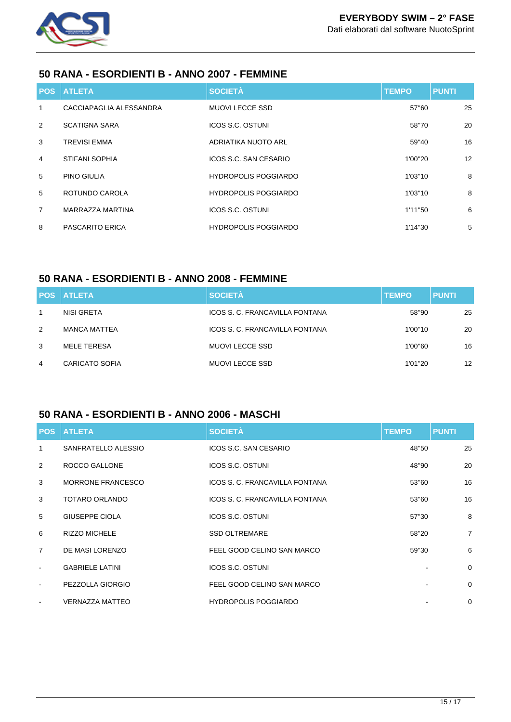

#### **50 RANA - ESORDIENTI B - ANNO 2007 - FEMMINE**

|                | <b>POS ATLETA</b>       | <b>SOCIETÀ</b>              | <b>TEMPO</b> | <b>PUNTI</b> |
|----------------|-------------------------|-----------------------------|--------------|--------------|
| 1              | CACCIAPAGLIA ALESSANDRA | <b>MUOVI LECCE SSD</b>      | 57"60        | 25           |
| 2              | <b>SCATIGNA SARA</b>    | <b>ICOS S.C. OSTUNI</b>     | 58"70        | 20           |
| 3              | <b>TREVISI EMMA</b>     | ADRIATIKA NUOTO ARL         | 59"40        | 16           |
| 4              | STIFANI SOPHIA          | ICOS S.C. SAN CESARIO       | 1'00"20      | 12           |
| 5              | <b>PINO GIULIA</b>      | <b>HYDROPOLIS POGGIARDO</b> | 1'03"10      | 8            |
| 5              | ROTUNDO CAROLA          | <b>HYDROPOLIS POGGIARDO</b> | 1'03"10      | 8            |
| $\overline{7}$ | MARRAZZA MARTINA        | ICOS S.C. OSTUNI            | 1'11"50      | 6            |
| 8              | PASCARITO ERICA         | <b>HYDROPOLIS POGGIARDO</b> | 1'14"30      | 5            |

#### **50 RANA - ESORDIENTI B - ANNO 2008 - FEMMINE**

|   | <b>POS ATLETA</b>     | <b>SOCIETÀ</b>                 | <b>TEMPO</b> | <b>PUNTI</b>      |
|---|-----------------------|--------------------------------|--------------|-------------------|
|   | NISI GRETA            | ICOS S. C. FRANCAVILLA FONTANA | 58"90        | 25                |
| 2 | <b>MANCA MATTEA</b>   | ICOS S. C. FRANCAVILLA FONTANA | 1'00"10      | 20                |
| 3 | MELE TERESA           | MUOVI LECCE SSD                | 1'00"60      | 16                |
| 4 | <b>CARICATO SOFIA</b> | <b>MUOVI LECCE SSD</b>         | 1'01"20      | $12 \overline{ }$ |

## **50 RANA - ESORDIENTI B - ANNO 2006 - MASCHI**

|                | <b>POS ATLETA</b>      | <b>SOCIETÀ</b>                 | <b>TEMPO</b> | <b>PUNTI</b>   |
|----------------|------------------------|--------------------------------|--------------|----------------|
| 1              | SANFRATELLO ALESSIO    | ICOS S.C. SAN CESARIO          | 48"50        | 25             |
| 2              | ROCCO GALLONE          | <b>ICOS S.C. OSTUNI</b>        | 48"90        | 20             |
| 3              | MORRONE FRANCESCO      | ICOS S. C. FRANCAVILLA FONTANA | 53"60        | 16             |
| 3              | TOTARO ORLANDO         | ICOS S. C. FRANCAVILLA FONTANA | 53"60        | 16             |
| 5              | GIUSEPPE CIOLA         | ICOS S.C. OSTUNI               | 57"30        | 8              |
| 6              | <b>RIZZO MICHELE</b>   | <b>SSD OLTREMARE</b>           | 58"20        | $\overline{7}$ |
| $\overline{7}$ | DE MASI LORENZO        | FEEL GOOD CELINO SAN MARCO     | 59"30        | 6              |
| $\sim$         | <b>GABRIELE LATINI</b> | ICOS S.C. OSTUNI               |              | $\Omega$       |
| $\sim$         | PEZZOLLA GIORGIO       | FEEL GOOD CELINO SAN MARCO     |              | $\mathbf 0$    |
| $\sim$         | <b>VERNAZZA MATTEO</b> | <b>HYDROPOLIS POGGIARDO</b>    |              | 0              |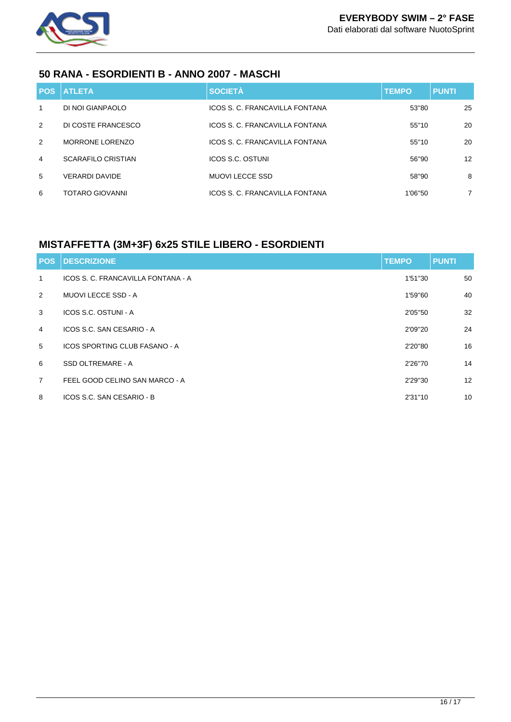

#### **50 RANA - ESORDIENTI B - ANNO 2007 - MASCHI**

|                 | <b>POS ATLETA</b>         | <b>SOCIETÀ</b>                 | <b>TEMPO</b> | <b>PUNTI</b>    |
|-----------------|---------------------------|--------------------------------|--------------|-----------------|
| 1               | DI NOI GIANPAOLO          | ICOS S. C. FRANCAVILLA FONTANA | 53"80        | 25              |
| 2               | DI COSTE FRANCESCO        | ICOS S. C. FRANCAVILLA FONTANA | 55"10        | 20              |
| 2               | <b>MORRONE LORENZO</b>    | ICOS S. C. FRANCAVILLA FONTANA | 55"10        | 20              |
| $\overline{4}$  | <b>SCARAFILO CRISTIAN</b> | ICOS S.C. OSTUNI               | 56"90        | 12 <sup>°</sup> |
| $5\overline{)}$ | <b>VERARDI DAVIDE</b>     | <b>MUOVI LECCE SSD</b>         | 58"90        | 8               |
| 6               | <b>TOTARO GIOVANNI</b>    | ICOS S. C. FRANCAVILLA FONTANA | 1'06"50      | $\overline{7}$  |

## **MISTAFFETTA (3M+3F) 6x25 STILE LIBERO - ESORDIENTI**

| <b>POS</b>     | <b>DESCRIZIONE</b>                   | <b>TEMPO</b> | <b>PUNTI</b> |
|----------------|--------------------------------------|--------------|--------------|
| $\mathbf{1}$   | ICOS S. C. FRANCAVILLA FONTANA - A   | 1'51"30      | 50           |
| 2              | <b>MUOVI LECCE SSD - A</b>           | 1'59"60      | 40           |
| 3              | ICOS S.C. OSTUNI - A                 | 2'05"50      | 32           |
| 4              | ICOS S.C. SAN CESARIO - A            | 2'09"20      | 24           |
| 5              | <b>ICOS SPORTING CLUB FASANO - A</b> | 2'20"80      | 16           |
| 6              | SSD OLTREMARE - A                    | 2'26"70      | 14           |
| $\overline{7}$ | FEEL GOOD CELINO SAN MARCO - A       | 2'29"30      | 12           |
| 8              | ICOS S.C. SAN CESARIO - B            | 2'31"10      | 10           |